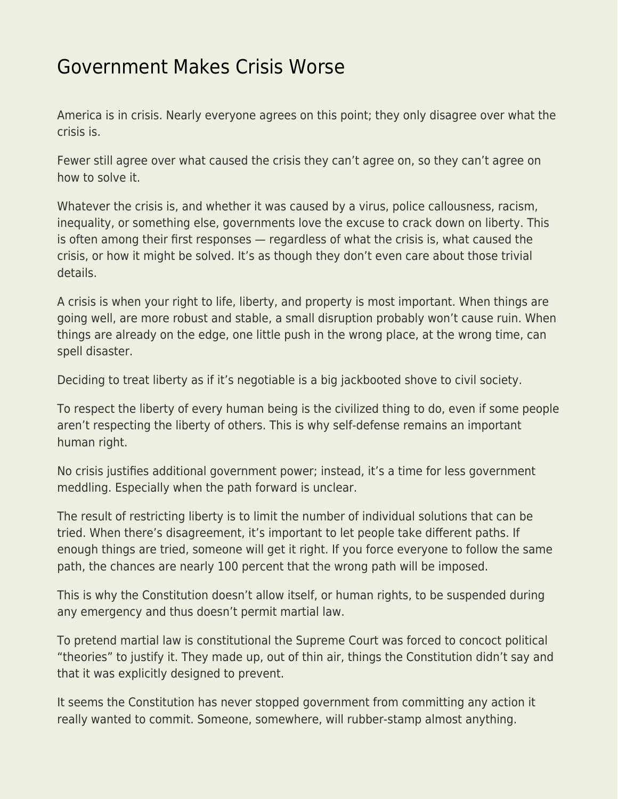## [Government Makes Crisis Worse](https://everything-voluntary.com/government-makes-crisis-worse)

America is in crisis. Nearly everyone agrees on this point; they only disagree over what the crisis is.

Fewer still agree over what caused the crisis they can't agree on, so they can't agree on how to solve it.

Whatever the crisis is, and whether it was caused by a virus, police callousness, racism, inequality, or something else, governments love the excuse to crack down on liberty. This is often among their first responses — regardless of what the crisis is, what caused the crisis, or how it might be solved. It's as though they don't even care about those trivial details.

A crisis is when your right to life, liberty, and property is most important. When things are going well, are more robust and stable, a small disruption probably won't cause ruin. When things are already on the edge, one little push in the wrong place, at the wrong time, can spell disaster.

Deciding to treat liberty as if it's negotiable is a big jackbooted shove to civil society.

To respect the liberty of every human being is the civilized thing to do, even if some people aren't respecting the liberty of others. This is why self-defense remains an important human right.

No crisis justifies additional government power; instead, it's a time for less government meddling. Especially when the path forward is unclear.

The result of restricting liberty is to limit the number of individual solutions that can be tried. When there's disagreement, it's important to let people take different paths. If enough things are tried, someone will get it right. If you force everyone to follow the same path, the chances are nearly 100 percent that the wrong path will be imposed.

This is why the Constitution doesn't allow itself, or human rights, to be suspended during any emergency and thus doesn't permit martial law.

To pretend martial law is constitutional the Supreme Court was forced to concoct political "theories" to justify it. They made up, out of thin air, things the Constitution didn't say and that it was explicitly designed to prevent.

It seems the Constitution has never stopped government from committing any action it really wanted to commit. Someone, somewhere, will rubber-stamp almost anything.